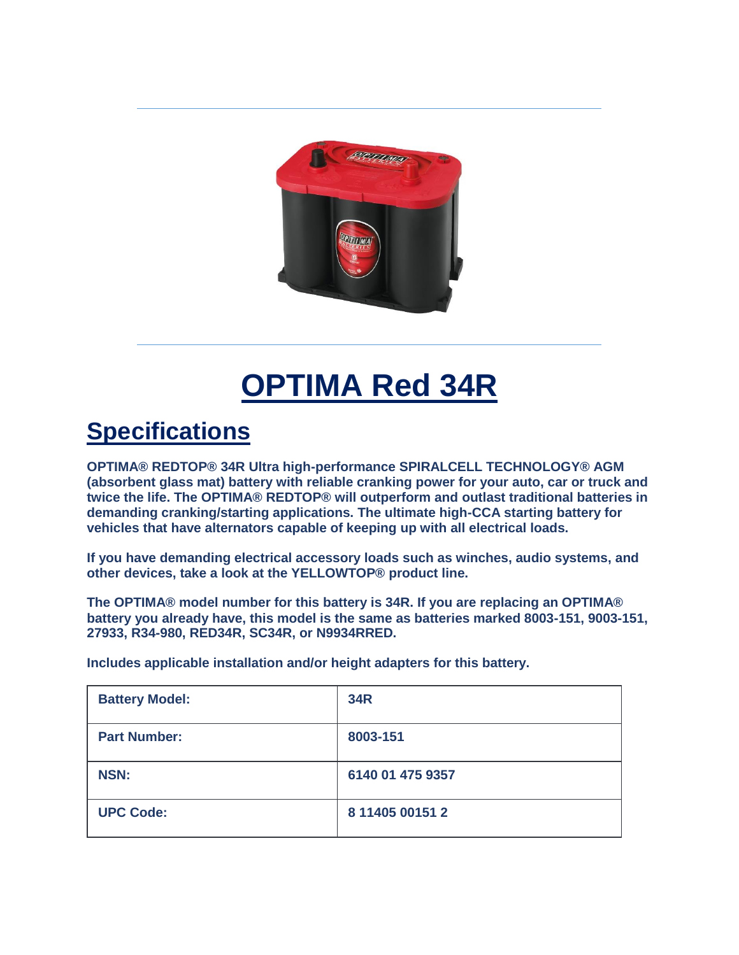

## **OPTIMA Red 34R**

## **Specifications**

**OPTIMA® REDTOP® 34R Ultra high-performance SPIRALCELL TECHNOLOGY® AGM (absorbent glass mat) battery with reliable cranking power for your auto, car or truck and twice the life. The OPTIMA® REDTOP® will outperform and outlast traditional batteries in demanding cranking/starting applications. The ultimate high-CCA starting battery for vehicles that have alternators capable of keeping up with all electrical loads.**

**If you have demanding electrical accessory loads such as winches, audio systems, and other devices, take a look at the YELLOWTOP® product line.**

**The OPTIMA® model number for this battery is 34R. If you are replacing an OPTIMA® battery you already have, this model is the same as batteries marked 8003-151, 9003-151, 27933, R34-980, RED34R, SC34R, or N9934RRED.**

**Includes applicable installation and/or height adapters for this battery.**

| <b>Battery Model:</b> | <b>34R</b>       |
|-----------------------|------------------|
| <b>Part Number:</b>   | 8003-151         |
| <b>NSN:</b>           | 6140 01 475 9357 |
| <b>UPC Code:</b>      | 8 11405 00151 2  |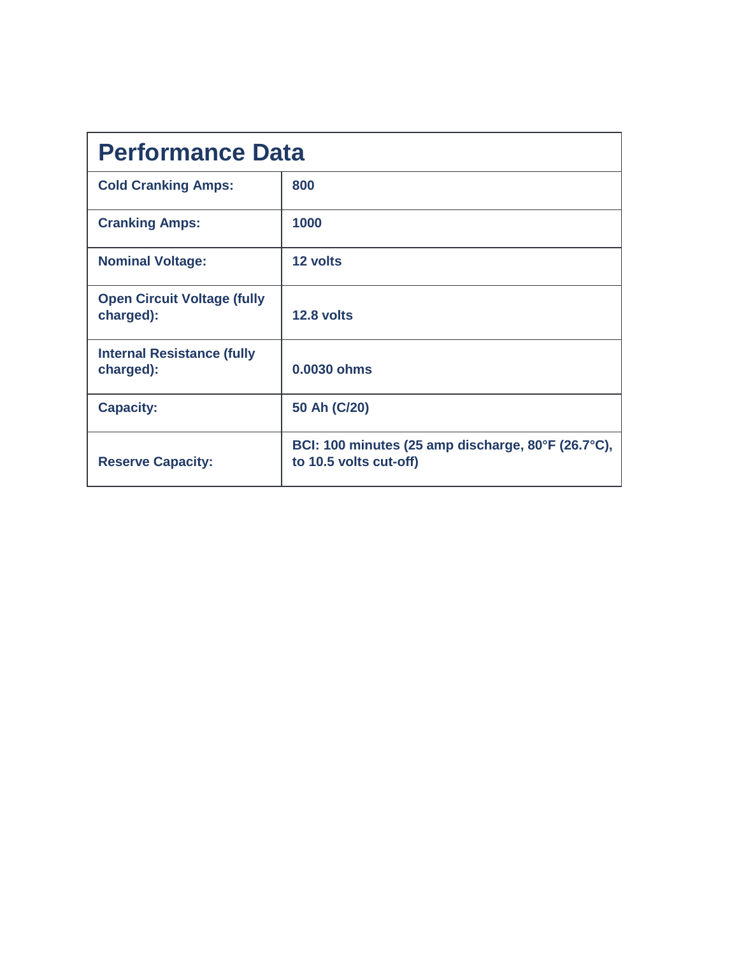| <b>Performance Data</b>                         |                                                                              |  |
|-------------------------------------------------|------------------------------------------------------------------------------|--|
| <b>Cold Cranking Amps:</b>                      | 800                                                                          |  |
| <b>Cranking Amps:</b>                           | 1000                                                                         |  |
| <b>Nominal Voltage:</b>                         | 12 volts                                                                     |  |
| <b>Open Circuit Voltage (fully</b><br>charged): | 12.8 volts                                                                   |  |
| <b>Internal Resistance (fully</b><br>charged):  | 0.0030 ohms                                                                  |  |
| <b>Capacity:</b>                                | 50 Ah (C/20)                                                                 |  |
| <b>Reserve Capacity:</b>                        | BCI: 100 minutes (25 amp discharge, 80°F (26.7°C),<br>to 10.5 volts cut-off) |  |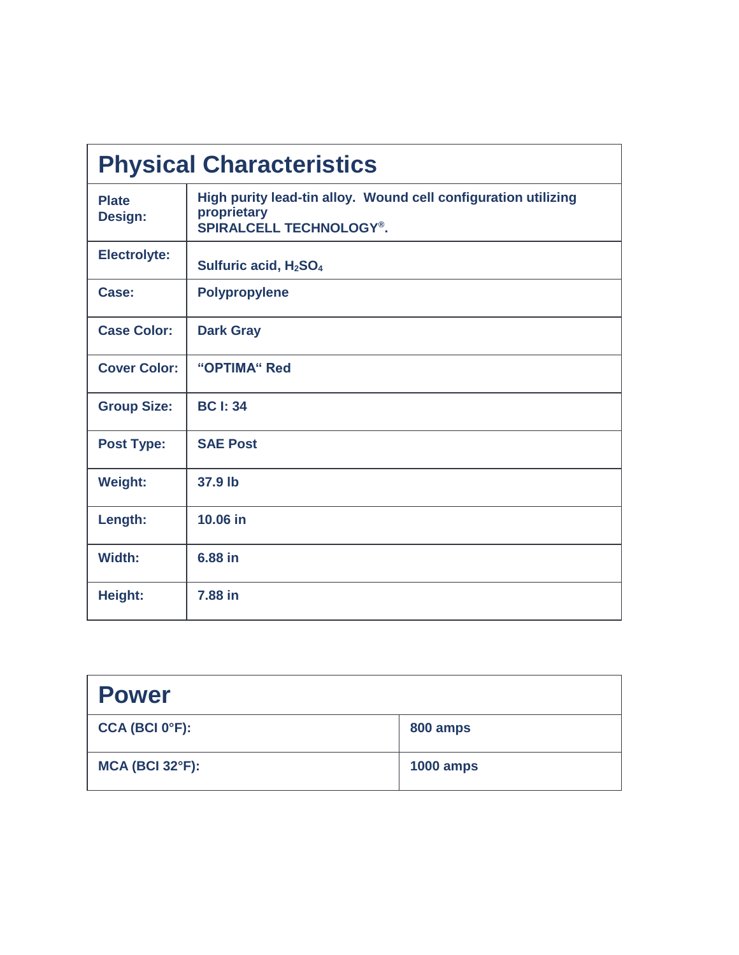| <b>Physical Characteristics</b> |                                                                                                                 |
|---------------------------------|-----------------------------------------------------------------------------------------------------------------|
| <b>Plate</b><br>Design:         | High purity lead-tin alloy. Wound cell configuration utilizing<br>proprietary<br><b>SPIRALCELL TECHNOLOGY®.</b> |
| <b>Electrolyte:</b>             | Sulfuric acid, H <sub>2</sub> SO <sub>4</sub>                                                                   |
| Case:                           | <b>Polypropylene</b>                                                                                            |
| <b>Case Color:</b>              | <b>Dark Gray</b>                                                                                                |
| <b>Cover Color:</b>             | "OPTIMA" Red                                                                                                    |
| <b>Group Size:</b>              | <b>BC I: 34</b>                                                                                                 |
| <b>Post Type:</b>               | <b>SAE Post</b>                                                                                                 |
| <b>Weight:</b>                  | 37.9 lb                                                                                                         |
| Length:                         | 10.06 in                                                                                                        |
| Width:                          | 6.88 in                                                                                                         |
| Height:                         | 7.88 in                                                                                                         |

| <b>Power</b>                |                  |
|-----------------------------|------------------|
| CCA (BCI 0 <sup>o</sup> F): | 800 amps         |
| <b>MCA (BCI 32°F):</b>      | <b>1000 amps</b> |